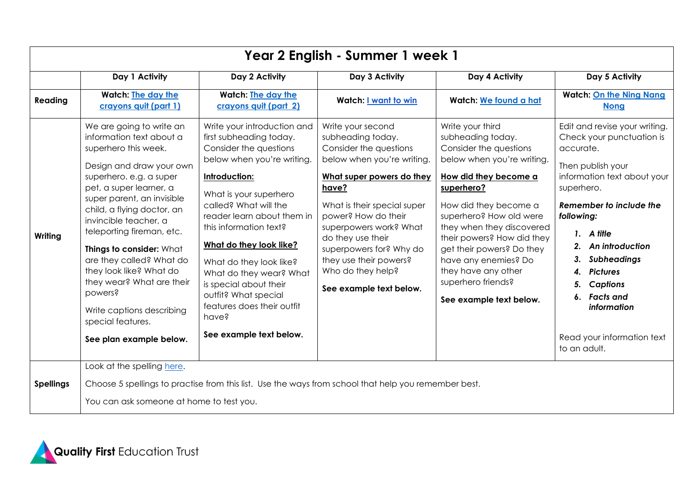| Year 2 English - Summer 1 week 1 |                                                                                                                                                                                                                                                                                                                                                                                                                                                                                          |                                                                                                                                                                                                                                                                                                                                                                                                                                                 |                                                                                                                                                                                                                                                                                                                                                |                                                                                                                                                                                                                                                                                                                                                                                  |                                                                                                                                                                                                                                                                                                                                                                   |  |  |
|----------------------------------|------------------------------------------------------------------------------------------------------------------------------------------------------------------------------------------------------------------------------------------------------------------------------------------------------------------------------------------------------------------------------------------------------------------------------------------------------------------------------------------|-------------------------------------------------------------------------------------------------------------------------------------------------------------------------------------------------------------------------------------------------------------------------------------------------------------------------------------------------------------------------------------------------------------------------------------------------|------------------------------------------------------------------------------------------------------------------------------------------------------------------------------------------------------------------------------------------------------------------------------------------------------------------------------------------------|----------------------------------------------------------------------------------------------------------------------------------------------------------------------------------------------------------------------------------------------------------------------------------------------------------------------------------------------------------------------------------|-------------------------------------------------------------------------------------------------------------------------------------------------------------------------------------------------------------------------------------------------------------------------------------------------------------------------------------------------------------------|--|--|
|                                  | Day 1 Activity                                                                                                                                                                                                                                                                                                                                                                                                                                                                           | Day 2 Activity                                                                                                                                                                                                                                                                                                                                                                                                                                  | Day 3 Activity                                                                                                                                                                                                                                                                                                                                 | Day 4 Activity                                                                                                                                                                                                                                                                                                                                                                   | Day 5 Activity                                                                                                                                                                                                                                                                                                                                                    |  |  |
| Reading                          | <b>Watch: The day the</b><br>crayons quit (part 1)                                                                                                                                                                                                                                                                                                                                                                                                                                       | <b>Watch: The day the</b><br>crayons quit (part 2)                                                                                                                                                                                                                                                                                                                                                                                              | <b>Watch: I want to win</b>                                                                                                                                                                                                                                                                                                                    | Watch: We found a hat                                                                                                                                                                                                                                                                                                                                                            | <b>Watch: On the Ning Nang</b><br><b>Nong</b>                                                                                                                                                                                                                                                                                                                     |  |  |
| Writing                          | We are going to write an<br>information text about a<br>superhero this week.<br>Design and draw your own<br>superhero. e.g. a super<br>pet, a super learner, a<br>super parent, an invisible<br>child, a flying doctor, an<br>invincible teacher, a<br>teleporting fireman, etc.<br>Things to consider: What<br>are they called? What do<br>they look like? What do<br>they wear? What are their<br>powers?<br>Write captions describing<br>special features.<br>See plan example below. | Write your introduction and<br>first subheading today.<br>Consider the questions<br>below when you're writing.<br>Introduction:<br>What is your superhero<br>called? What will the<br>reader learn about them in<br>this information text?<br>What do they look like?<br>What do they look like?<br>What do they wear? What<br>is special about their<br>outfit? What special<br>features does their outfit<br>have?<br>See example text below. | Write your second<br>subheading today.<br>Consider the questions<br>below when you're writing.<br>What super powers do they<br>have?<br>What is their special super<br>power? How do their<br>superpowers work? What<br>do they use their<br>superpowers for? Why do<br>they use their powers?<br>Who do they help?<br>See example text below. | Write your third<br>subheading today.<br>Consider the questions<br>below when you're writing.<br>How did they become a<br>superhero?<br>How did they become a<br>superhero? How old were<br>they when they discovered<br>their powers? How did they<br>get their powers? Do they<br>have any enemies? Do<br>they have any other<br>superhero friends?<br>See example text below. | Edit and revise your writing.<br>Check your punctuation is<br>accurate.<br>Then publish your<br>information text about your<br>superhero.<br>Remember to include the<br>following:<br>1. A title<br>2. An introduction<br>3. Subheadings<br><b>Pictures</b><br>4.<br><b>Captions</b><br>6. Facts and<br>information<br>Read your information text<br>to an adult. |  |  |
| <b>Spellings</b>                 | Look at the spelling here.<br>Choose 5 spellings to practise from this list. Use the ways from school that help you remember best.<br>You can ask someone at home to test you.                                                                                                                                                                                                                                                                                                           |                                                                                                                                                                                                                                                                                                                                                                                                                                                 |                                                                                                                                                                                                                                                                                                                                                |                                                                                                                                                                                                                                                                                                                                                                                  |                                                                                                                                                                                                                                                                                                                                                                   |  |  |

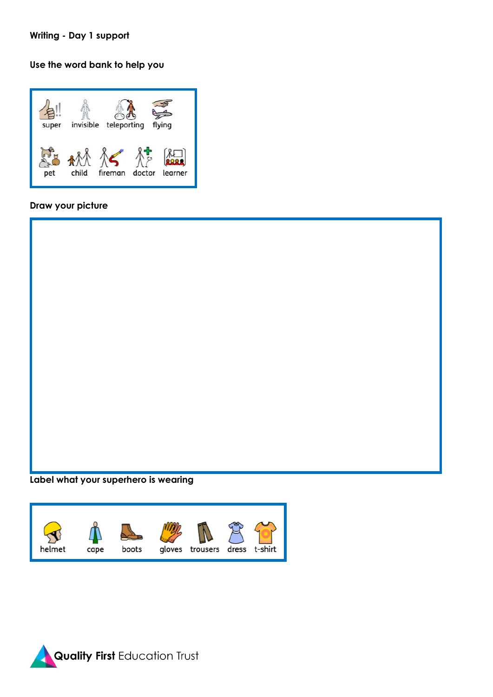## **Writing - Day 1 support**

# **Use the word bank to help you**



# **Draw your picture**



## **Label what your superhero is wearing**



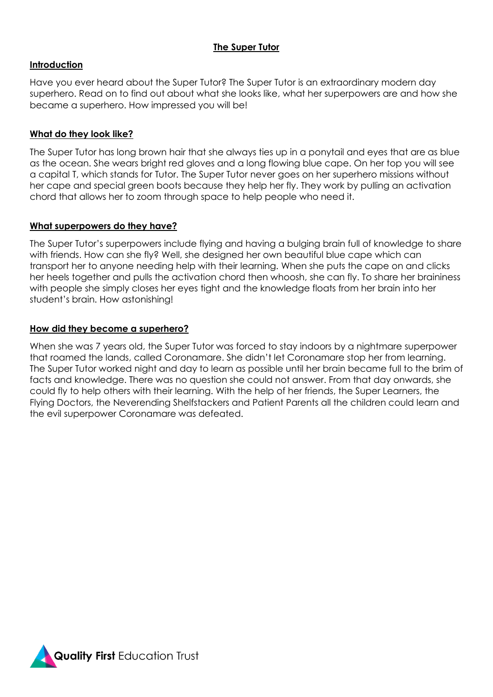# **The Super Tutor**

## **Introduction**

Have you ever heard about the Super Tutor? The Super Tutor is an extraordinary modern day superhero. Read on to find out about what she looks like, what her superpowers are and how she became a superhero. How impressed you will be!

# **What do they look like?**

The Super Tutor has long brown hair that she always ties up in a ponytail and eyes that are as blue as the ocean. She wears bright red gloves and a long flowing blue cape. On her top you will see a capital T, which stands for Tutor. The Super Tutor never goes on her superhero missions without her cape and special green boots because they help her fly. They work by pulling an activation chord that allows her to zoom through space to help people who need it.

## **What superpowers do they have?**

The Super Tutor's superpowers include flying and having a bulging brain full of knowledge to share with friends. How can she fly? Well, she designed her own beautiful blue cape which can transport her to anyone needing help with their learning. When she puts the cape on and clicks her heels together and pulls the activation chord then whoosh, she can fly. To share her braininess with people she simply closes her eyes tight and the knowledge floats from her brain into her student's brain. How astonishing!

## **How did they become a superhero?**

When she was 7 years old, the Super Tutor was forced to stay indoors by a nightmare superpower that roamed the lands, called Coronamare. She didn't let Coronamare stop her from learning. The Super Tutor worked night and day to learn as possible until her brain became full to the brim of facts and knowledge. There was no question she could not answer. From that day onwards, she could fly to help others with their learning. With the help of her friends, the Super Learners, the Flying Doctors, the Neverending Shelfstackers and Patient Parents all the children could learn and the evil superpower Coronamare was defeated.

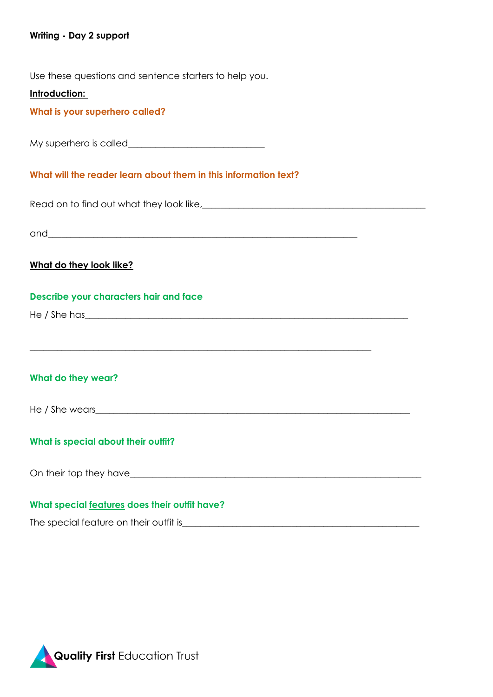## **Writing - Day 2 support**

Use these questions and sentence starters to help you.

#### **Introduction:**

**What is your superhero called?**

My superhero is called

#### **What will the reader learn about them in this information text?**

Read on to find out what they look like,\_\_\_\_\_\_\_\_\_\_\_\_\_\_\_\_\_\_\_\_\_\_\_\_\_\_\_\_\_\_\_\_\_\_\_\_\_\_\_\_\_\_\_\_\_\_\_\_\_

and  $\overline{a}$ 

## **What do they look like?**

#### **Describe your characters hair and face**

He / She has**\_\_\_\_\_\_\_\_\_\_\_\_\_\_\_\_\_\_\_\_\_\_\_\_\_\_\_\_\_\_\_\_\_\_\_\_\_\_\_\_\_\_\_\_\_\_\_\_\_\_\_\_\_\_\_\_\_\_\_\_\_\_\_\_\_\_\_\_\_\_\_**

# **What do they wear?**

He / She wears\_\_\_\_\_\_\_\_\_\_\_\_\_\_\_\_\_\_\_\_\_\_\_\_\_\_\_\_\_\_\_\_\_\_\_\_\_\_\_\_\_\_\_\_\_\_\_\_\_\_\_\_\_\_\_\_\_\_\_\_\_\_\_\_\_\_\_\_\_

**\_\_\_\_\_\_\_\_\_\_\_\_\_\_\_\_\_\_\_\_\_\_\_\_\_\_\_\_\_\_\_\_\_\_\_\_\_\_\_\_\_\_\_\_\_\_\_\_\_\_\_\_\_\_\_\_\_\_\_\_\_\_\_\_\_\_\_\_\_\_\_\_\_\_\_**

## **What is special about their outfit?**

On their top they have\_\_\_\_\_\_\_\_\_\_\_\_\_\_\_\_\_\_\_\_\_\_\_\_\_\_\_\_\_\_\_\_\_\_\_\_\_\_\_\_\_\_\_\_\_\_\_\_\_\_\_\_\_\_\_\_\_\_\_\_\_\_\_\_

## **What special features does their outfit have?**

The special feature on their outfit is\_\_\_\_\_\_\_\_\_\_\_\_\_\_\_\_\_\_\_\_\_\_\_\_\_\_\_\_\_\_\_\_\_\_\_\_\_\_\_\_\_\_\_\_\_\_\_\_\_\_\_\_

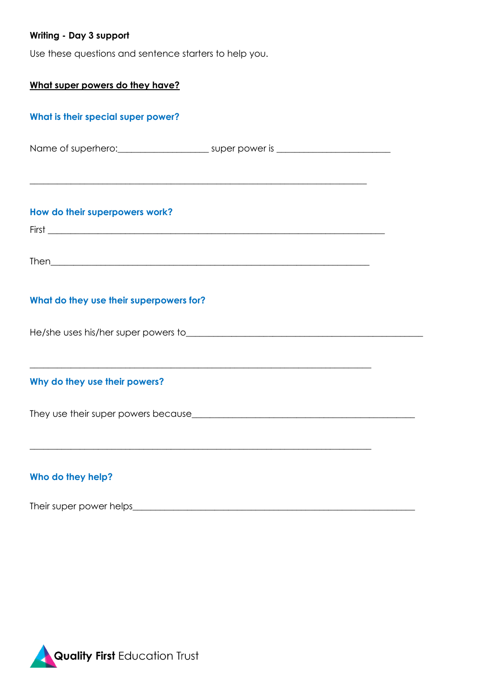# **Writing - Day 3 support**

Use these questions and sentence starters to help you.

| What super powers do they have?                                                   |  |  |  |  |  |  |
|-----------------------------------------------------------------------------------|--|--|--|--|--|--|
| What is their special super power?                                                |  |  |  |  |  |  |
| Name of superhero: ____________________________ super power is __________________ |  |  |  |  |  |  |
| How do their superpowers work?                                                    |  |  |  |  |  |  |
|                                                                                   |  |  |  |  |  |  |
|                                                                                   |  |  |  |  |  |  |
| What do they use their superpowers for?                                           |  |  |  |  |  |  |
|                                                                                   |  |  |  |  |  |  |
| Why do they use their powers?                                                     |  |  |  |  |  |  |
|                                                                                   |  |  |  |  |  |  |
| Who do they help?                                                                 |  |  |  |  |  |  |
| Their super power helps____                                                       |  |  |  |  |  |  |

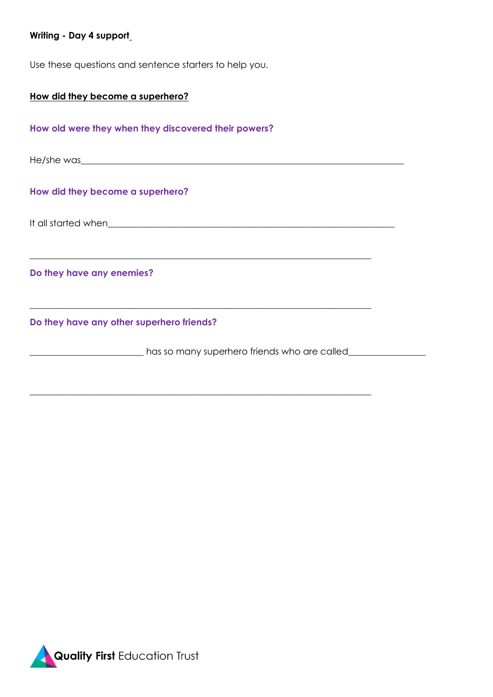# **Writing - Day 4 support**

Use these questions and sentence starters to help you.

| How did they become a superhero?                                                                                                                                                                                               |  |
|--------------------------------------------------------------------------------------------------------------------------------------------------------------------------------------------------------------------------------|--|
| How old were they when they discovered their powers?                                                                                                                                                                           |  |
| He/she was services and the services of the services of the services of the service of the services of the services of the services of the services of the services of the services of the services of the services of the ser |  |
| How did they become a superhero?                                                                                                                                                                                               |  |
|                                                                                                                                                                                                                                |  |
| Do they have any enemies?                                                                                                                                                                                                      |  |
| Do they have any other superhero friends?                                                                                                                                                                                      |  |
| has so many superhero friends who are called_                                                                                                                                                                                  |  |
|                                                                                                                                                                                                                                |  |

\_\_\_\_\_\_\_\_\_\_\_\_\_\_\_\_\_\_\_\_\_\_\_\_\_\_\_\_\_\_\_\_\_\_\_\_\_\_\_\_\_\_\_\_\_\_\_\_\_\_\_\_\_\_\_\_\_\_\_\_\_\_\_\_\_\_\_\_\_\_\_\_\_\_\_